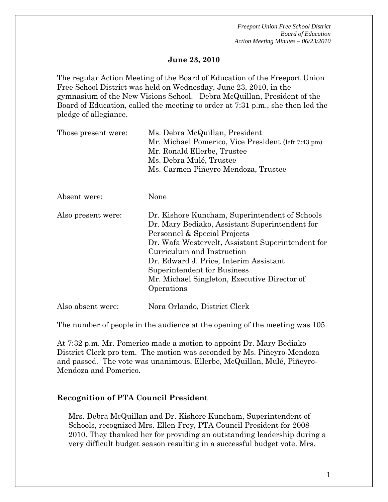### **June 23, 2010**

The regular Action Meeting of the Board of Education of the Freeport Union Free School District was held on Wednesday, June 23, 2010, in the gymnasium of the New Visions School. Debra McQuillan, President of the Board of Education, called the meeting to order at 7:31 p.m., she then led the pledge of allegiance.

| Those present were: | Ms. Debra McQuillan, President<br>Mr. Michael Pomerico, Vice President (left 7:43 pm)<br>Mr. Ronald Ellerbe, Trustee<br>Ms. Debra Mulé, Trustee                                                                                                                                                                                                            |  |  |
|---------------------|------------------------------------------------------------------------------------------------------------------------------------------------------------------------------------------------------------------------------------------------------------------------------------------------------------------------------------------------------------|--|--|
|                     | Ms. Carmen Piñeyro-Mendoza, Trustee                                                                                                                                                                                                                                                                                                                        |  |  |
| Absent were:        | None                                                                                                                                                                                                                                                                                                                                                       |  |  |
| Also present were:  | Dr. Kishore Kuncham, Superintendent of Schools<br>Dr. Mary Bediako, Assistant Superintendent for<br>Personnel & Special Projects<br>Dr. Wafa Westervelt, Assistant Superintendent for<br>Curriculum and Instruction<br>Dr. Edward J. Price, Interim Assistant<br>Superintendent for Business<br>Mr. Michael Singleton, Executive Director of<br>Operations |  |  |
| Also absent were:   | Nora Orlando, District Clerk                                                                                                                                                                                                                                                                                                                               |  |  |

The number of people in the audience at the opening of the meeting was 105.

At 7:32 p.m. Mr. Pomerico made a motion to appoint Dr. Mary Bediako District Clerk pro tem. The motion was seconded by Ms. Piñeyro-Mendoza and passed. The vote was unanimous, Ellerbe, McQuillan, Mulé, Piñeyro-Mendoza and Pomerico.

#### **Recognition of PTA Council President**

Mrs. Debra McQuillan and Dr. Kishore Kuncham, Superintendent of Schools, recognized Mrs. Ellen Frey, PTA Council President for 2008- 2010. They thanked her for providing an outstanding leadership during a very difficult budget season resulting in a successful budget vote. Mrs.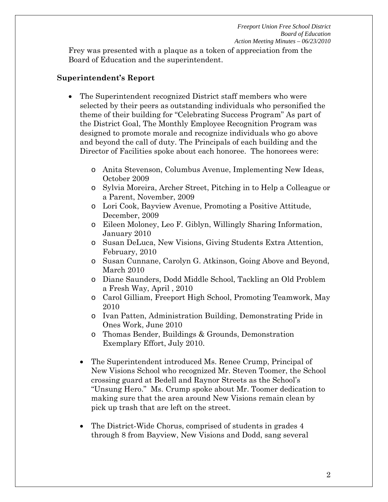Frey was presented with a plaque as a token of appreciation from the Board of Education and the superintendent.

#### **Superintendent's Report**

- The Superintendent recognized District staff members who were selected by their peers as outstanding individuals who personified the theme of their building for "Celebrating Success Program" As part of the District Goal, The Monthly Employee Recognition Program was designed to promote morale and recognize individuals who go above and beyond the call of duty. The Principals of each building and the Director of Facilities spoke about each honoree. The honorees were:
	- o Anita Stevenson, Columbus Avenue, Implementing New Ideas, October 2009
	- o Sylvia Moreira, Archer Street, Pitching in to Help a Colleague or a Parent, November, 2009
	- o Lori Cook, Bayview Avenue, Promoting a Positive Attitude, December, 2009
	- o Eileen Moloney, Leo F. Giblyn, Willingly Sharing Information, January 2010
	- o Susan DeLuca, New Visions, Giving Students Extra Attention, February, 2010
	- o Susan Cunnane, Carolyn G. Atkinson, Going Above and Beyond, March 2010
	- o Diane Saunders, Dodd Middle School, Tackling an Old Problem a Fresh Way, April , 2010
	- o Carol Gilliam, Freeport High School, Promoting Teamwork, May 2010
	- o Ivan Patten, Administration Building, Demonstrating Pride in Ones Work, June 2010
	- o Thomas Bender, Buildings & Grounds, Demonstration Exemplary Effort, July 2010.
	- The Superintendent introduced Ms. Renee Crump, Principal of New Visions School who recognized Mr. Steven Toomer, the School crossing guard at Bedell and Raynor Streets as the School's "Unsung Hero." Ms. Crump spoke about Mr. Toomer dedication to making sure that the area around New Visions remain clean by pick up trash that are left on the street.
	- The District-Wide Chorus, comprised of students in grades 4 through 8 from Bayview, New Visions and Dodd, sang several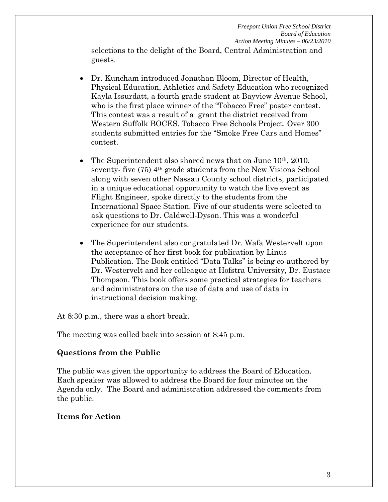selections to the delight of the Board, Central Administration and guests.

- Dr. Kuncham introduced Jonathan Bloom, Director of Health, Physical Education, Athletics and Safety Education who recognized Kayla Issurdatt, a fourth grade student at Bayview Avenue School, who is the first place winner of the "Tobacco Free" poster contest. This contest was a result of a grant the district received from Western Suffolk BOCES. Tobacco Free Schools Project. Over 300 students submitted entries for the "Smoke Free Cars and Homes" contest.
- The Superintendent also shared news that on June  $10<sup>th</sup>$ , 2010, seventy- five (75) 4<sup>th</sup> grade students from the New Visions School along with seven other Nassau County school districts, participated in a unique educational opportunity to watch the live event as Flight Engineer, spoke directly to the students from the International Space Station. Five of our students were selected to ask questions to Dr. Caldwell-Dyson. This was a wonderful experience for our students.
- The Superintendent also congratulated Dr. Wafa Westervelt upon the acceptance of her first book for publication by Linus Publication. The Book entitled "Data Talks" is being co-authored by Dr. Westervelt and her colleague at Hofstra University, Dr. Eustace Thompson. This book offers some practical strategies for teachers and administrators on the use of data and use of data in instructional decision making.

At 8:30 p.m., there was a short break.

The meeting was called back into session at 8:45 p.m.

# **Questions from the Public**

The public was given the opportunity to address the Board of Education. Each speaker was allowed to address the Board for four minutes on the Agenda only. The Board and administration addressed the comments from the public.

# **Items for Action**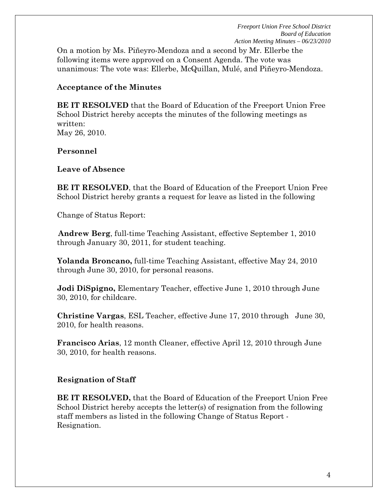On a motion by Ms. Piñeyro-Mendoza and a second by Mr. Ellerbe the following items were approved on a Consent Agenda. The vote was unanimous: The vote was: Ellerbe, McQuillan, Mulé, and Piñeyro-Mendoza.

#### **Acceptance of the Minutes**

**BE IT RESOLVED** that the Board of Education of the Freeport Union Free School District hereby accepts the minutes of the following meetings as written: May 26, 2010.

### **Personnel**

### **Leave of Absence**

**BE IT RESOLVED**, that the Board of Education of the Freeport Union Free School District hereby grants a request for leave as listed in the following

Change of Status Report:

**Andrew Berg**, full-time Teaching Assistant, effective September 1, 2010 through January 30, 2011, for student teaching.

**Yolanda Broncano,** full-time Teaching Assistant, effective May 24, 2010 through June 30, 2010, for personal reasons.

**Jodi DiSpigno,** Elementary Teacher, effective June 1, 2010 through June 30, 2010, for childcare.

**Christine Vargas**, ESL Teacher, effective June 17, 2010 through June 30, 2010, for health reasons.

**Francisco Arias**, 12 month Cleaner, effective April 12, 2010 through June 30, 2010, for health reasons.

# **Resignation of Staff**

**BE IT RESOLVED,** that the Board of Education of the Freeport Union Free School District hereby accepts the letter(s) of resignation from the following staff members as listed in the following Change of Status Report - Resignation.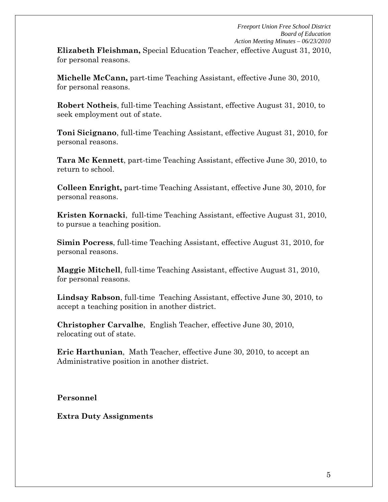**Elizabeth Fleishman,** Special Education Teacher, effective August 31, 2010, for personal reasons.

**Michelle McCann,** part-time Teaching Assistant, effective June 30, 2010, for personal reasons.

**Robert Notheis**, full-time Teaching Assistant, effective August 31, 2010, to seek employment out of state.

**Toni Sicignano**, full-time Teaching Assistant, effective August 31, 2010, for personal reasons.

**Tara Mc Kennett**, part-time Teaching Assistant, effective June 30, 2010, to return to school.

**Colleen Enright,** part-time Teaching Assistant, effective June 30, 2010, for personal reasons.

**Kristen Kornacki**, full-time Teaching Assistant, effective August 31, 2010, to pursue a teaching position.

**Simin Pocress**, full-time Teaching Assistant, effective August 31, 2010, for personal reasons.

**Maggie Mitchell**, full-time Teaching Assistant, effective August 31, 2010, for personal reasons.

**Lindsay Rabson**, full-time Teaching Assistant, effective June 30, 2010, to accept a teaching position in another district.

**Christopher Carvalhe**, English Teacher, effective June 30, 2010, relocating out of state.

**Eric Harthunian**, Math Teacher, effective June 30, 2010, to accept an Administrative position in another district.

**Personnel**

**Extra Duty Assignments**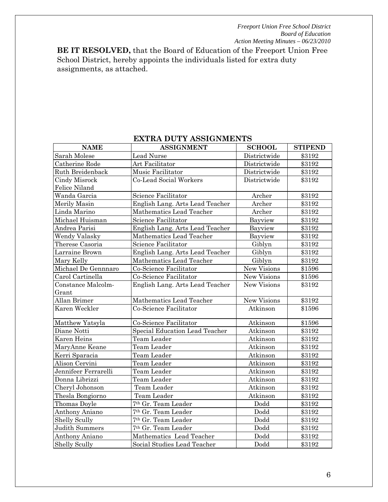**BE IT RESOLVED,** that the Board of Education of the Freeport Union Free School District, hereby appoints the individuals listed for extra duty assignments, as attached.

| <b>NAME</b>          | <b>ASSIGNMENT</b>               | <b>SCHOOL</b>      | <b>STIPEND</b> |
|----------------------|---------------------------------|--------------------|----------------|
| Sarah Molese         | Lead Nurse                      | Districtwide       | \$3192         |
| Catherine Rode       | Art Facilitator                 | Districtwide       | \$3192         |
| Ruth Breidenback     | Music Facilitator               | Districtwide       | \$3192         |
| Cindy Misrock        | Co-Lead Social Workers          | Districtwide       | \$3192         |
| Felice Niland        |                                 |                    |                |
| Wanda Garcia         | Science Facilitator             | Archer             | \$3192         |
| Merily Masin         | English Lang. Arts Lead Teacher | Archer             | \$3192         |
| Linda Marino         | Mathematics Lead Teacher        | Archer             | \$3192         |
| Michael Huisman      | Science Facilitator             | Bayview            | \$3192         |
| Andrea Parisi        | English Lang. Arts Lead Teacher | Bayview            | \$3192         |
| <b>Wendy Valasky</b> | Mathematics Lead Teacher        | Bayview            | \$3192         |
| Therese Casoria      | Science Facilitator             | Giblyn             | \$3192         |
| Larraine Brown       | English Lang. Arts Lead Teacher | Giblyn             | \$3192         |
| Mary Kelly           | Mathematics Lead Teacher        | Giblyn             | \$3192         |
| Michael De Gennnaro  | Co-Science Facilitator          | New Visions        | \$1596         |
| Carol Cartinella     | Co-Science Facilitator          | <b>New Visions</b> | \$1596         |
| Constance Malcolm-   | English Lang. Arts Lead Teacher | New Visions        | \$3192         |
| Grant                |                                 |                    |                |
| Allan Brimer         | Mathematics Lead Teacher        | New Visions        | \$3192         |
| Karen Weckler        | Co-Science Facilitator          | Atkinson           | \$1596         |
| Matthew Yatsyla      | Co-Science Facilitator          | Atkinson           | \$1596         |
| Diane Notti          | Special Education Lead Teacher  | Atkinson           | \$3192         |
| Karen Heins          | Team Leader                     | Atkinson           | \$3192         |
| MaryAnne Keane       | Team Leader                     | Atkinson           | \$3192         |
| Kerri Sparacia       | Team Leader                     | Atkinson           | \$3192         |
| Alison Cervini       | Team Leader                     | Atkinson           | \$3192         |
| Jennifeer Ferrarelli | Team Leader                     | Atkinson           | \$3192         |
| Donna Librizzi       | Team Leader                     | Atkinson           | \$3192         |
| Cheryl Johonson      | Team Leader                     | Atkinson           | \$3192         |
| Thesla Bongiorno     | Team Leader                     | Atkinson           | \$3192         |
| Thomas Doyle         | 7 <sup>th</sup> Gr. Team Leader | Dodd               | \$3192         |
| Anthony Aniano       | 7th Gr. Team Leader             | Dodd               | \$3192         |
| <b>Shelly Scully</b> | 7th Gr. Team Leader             | Dodd               | \$3192         |
| Judith Summers       | 7 <sup>th</sup> Gr. Team Leader | Dodd               | \$3192         |
| Anthony Aniano       | Mathematics Lead Teacher        | Dodd               | \$3192         |
| <b>Shelly Scully</b> | Social Studies Lead Teacher     | Dodd               | \$3192         |

# **EXTRA DUTY ASSIGNMENTS**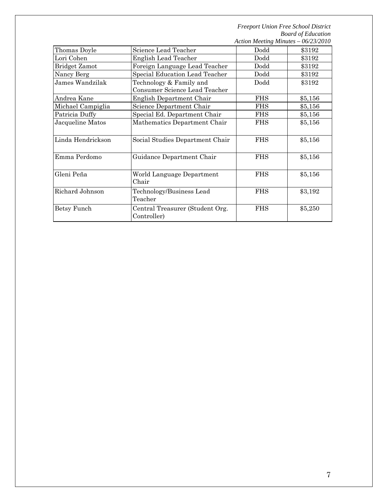| Thomas Doyle      | Science Lead Teacher                                     | Dodd       | \$3192  |
|-------------------|----------------------------------------------------------|------------|---------|
| Lori Cohen        | <b>English Lead Teacher</b>                              | Dodd       | \$3192  |
| Bridget Zamot     | Foreign Language Lead Teacher                            | Dodd       | \$3192  |
| Nancy Berg        | Special Education Lead Teacher                           | Dodd       | \$3192  |
| James Wandzilak   | Technology & Family and<br>Consumer Science Lead Teacher | Dodd       | \$3192  |
| Andrea Kane       | English Department Chair                                 | <b>FHS</b> | \$5,156 |
| Michael Campiglia | Science Department Chair                                 | <b>FHS</b> | \$5,156 |
| Patricia Duffy    | Special Ed. Department Chair                             | <b>FHS</b> | \$5,156 |
| Jacqueline Matos  | Mathematics Department Chair                             | <b>FHS</b> | \$5,156 |
| Linda Hendrickson | Social Studies Department Chair                          | <b>FHS</b> | \$5,156 |
| Emma Perdomo      | Guidance Department Chair                                | <b>FHS</b> | \$5,156 |
| Gleni Peña        | World Language Department<br>Chair                       | <b>FHS</b> | \$5,156 |
| Richard Johnson   | Technology/Business Lead<br>Teacher                      | <b>FHS</b> | \$3,192 |
| Betsy Funch       | Central Treasurer (Student Org.<br>Controller)           | <b>FHS</b> | \$5,250 |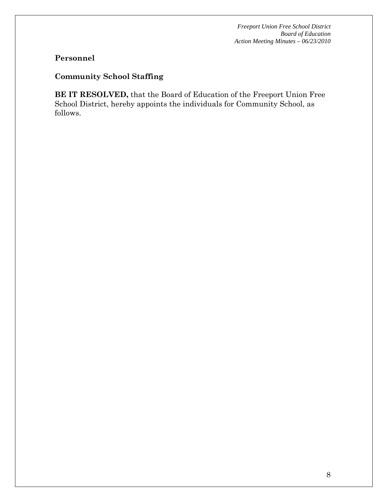# **Personnel**

# **Community School Staffing**

**BE IT RESOLVED,** that the Board of Education of the Freeport Union Free School District, hereby appoints the individuals for Community School, as follows.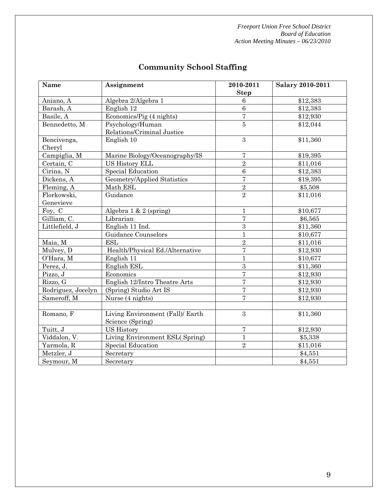| Name               | Assignment                       | 2010-2011       | <b>Salary 2010-2011</b> |
|--------------------|----------------------------------|-----------------|-------------------------|
|                    |                                  | <b>Step</b>     |                         |
| Aniano, A          | Algebra 2/Algebra 1              | $6\phantom{1}6$ | \$12,383                |
| Barash, A          | English 12                       | $\,6\,$         | \$12,383                |
| Basile, A          | Economics/Pig (4 nights)         | $\overline{7}$  | \$12,930                |
| Bennedetto, M      | Psychology/Human                 | 5               | \$12,044                |
|                    | Relations/Criminal Justice       |                 |                         |
| Bencivenga,        | English 10                       | 3               | \$11,360                |
| Cheryl             |                                  |                 |                         |
| Campiglia, M       | Marine Biology/Oceanography/IS   | 7               | \$19,395                |
| Certain, C         | <b>US History ELL</b>            | $\overline{2}$  | \$11,016                |
| Cirina, N          | <b>Special Education</b>         | $\overline{6}$  | \$12,383                |
| Dickens, A         | Geometry/Applied Statistics      | $\overline{7}$  | \$19,395                |
| Fleming, A         | Math ESL                         | $\sqrt{2}$      | \$5,508                 |
| Florkowski,        | Guidance                         | $\overline{2}$  | \$11,016                |
| Genevieve          |                                  |                 |                         |
| Foy, C             | Algebra $1 \& 2$ (spring)        | $\mathbf 1$     | \$10,677                |
| Gilliam, C.        | Librarian                        | $\overline{7}$  | \$6,565                 |
| Littlefield, J     | English 11 Ind.                  | $\sqrt{3}$      | \$11,360                |
|                    | Guidance Counselors              | $\mathbf{1}$    | \$10,677                |
| Maia, M            | <b>ESL</b>                       | $\overline{2}$  | \$11,016                |
| Mulvey, D          | Health/Physical Ed./Alternative  | $\overline{7}$  | \$12,930                |
| O'Hara, M          | English 11                       | $\mathbf{1}$    | \$10,677                |
| Perez, J.          | English ESL                      | $\overline{3}$  | \$11,360                |
| Pizzo, J           | Economics                        | $\overline{7}$  | \$12,930                |
| Rizzo, G           | English 12/Intro Theatre Arts    | $\overline{7}$  | \$12,930                |
| Rodriguez, Jocelyn | (Spring) Studio Art IS           | $\overline{7}$  | \$12,930                |
| Sameroff, M        | Nurse (4 nights)                 | $\overline{7}$  | \$12,930                |
|                    |                                  |                 |                         |
| Romano, F          | Living Environment (Fall)/ Earth | 3               | \$11,360                |
|                    | Science (Spring)                 |                 |                         |
| Tuitt, J           | <b>US History</b>                | $\overline{7}$  | \$12,930                |
| Viddalon, V.       | Living Environment ESL(Spring)   | $\mathbf{1}$    | \$5,338                 |
| Yarmola, R         | <b>Special Education</b>         | $\overline{2}$  | \$11,016                |
| Metzler, J         | Secretary                        |                 | \$4,551                 |
| Seymour, M         | Secretary                        |                 | \$4,551                 |

# **Community School Staffing**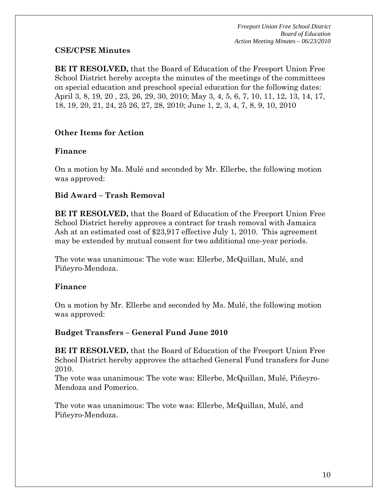# **CSE/CPSE Minutes**

**BE IT RESOLVED,** that the Board of Education of the Freeport Union Free School District hereby accepts the minutes of the meetings of the committees on special education and preschool special education for the following dates: April 3, 8, 19, 20 , 23, 26, 29, 30, 2010; May 3, 4, 5, 6, 7, 10, 11, 12, 13, 14, 17, 18, 19, 20, 21, 24, 25 26, 27, 28, 2010; June 1, 2, 3, 4, 7, 8, 9, 10, 2010

# **Other Items for Action**

# **Finance**

On a motion by Ms. Mulé and seconded by Mr. Ellerbe, the following motion was approved:

# **Bid Award – Trash Removal**

**BE IT RESOLVED,** that the Board of Education of the Freeport Union Free School District hereby approves a contract for trash removal with Jamaica Ash at an estimated cost of \$23,917 effective July 1, 2010. This agreement may be extended by mutual consent for two additional one-year periods.

The vote was unanimous: The vote was: Ellerbe, McQuillan, Mulé, and Piñeyro-Mendoza.

# **Finance**

On a motion by Mr. Ellerbe and seconded by Ms. Mulé, the following motion was approved:

# **Budget Transfers – General Fund June 2010**

**BE IT RESOLVED,** that the Board of Education of the Freeport Union Free School District hereby approves the attached General Fund transfers for June 2010.

The vote was unanimous: The vote was: Ellerbe, McQuillan, Mulé, Piñeyro-Mendoza and Pomerico.

The vote was unanimous: The vote was: Ellerbe, McQuillan, Mulé, and Piñeyro-Mendoza.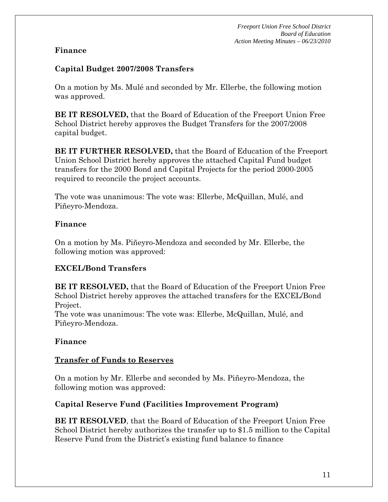### **Finance**

### **Capital Budget 2007/2008 Transfers**

On a motion by Ms. Mulé and seconded by Mr. Ellerbe, the following motion was approved.

**BE IT RESOLVED,** that the Board of Education of the Freeport Union Free School District hereby approves the Budget Transfers for the 2007/2008 capital budget.

**BE IT FURTHER RESOLVED,** that the Board of Education of the Freeport Union School District hereby approves the attached Capital Fund budget transfers for the 2000 Bond and Capital Projects for the period 2000-2005 required to reconcile the project accounts.

The vote was unanimous: The vote was: Ellerbe, McQuillan, Mulé, and Piñeyro-Mendoza.

### **Finance**

On a motion by Ms. Piñeyro-Mendoza and seconded by Mr. Ellerbe, the following motion was approved:

# **EXCEL/Bond Transfers**

**BE IT RESOLVED,** that the Board of Education of the Freeport Union Free School District hereby approves the attached transfers for the EXCEL/Bond Project.

The vote was unanimous: The vote was: Ellerbe, McQuillan, Mulé, and Piñeyro-Mendoza.

# **Finance**

# **Transfer of Funds to Reserves**

On a motion by Mr. Ellerbe and seconded by Ms. Piñeyro-Mendoza, the following motion was approved:

# **Capital Reserve Fund (Facilities Improvement Program)**

**BE IT RESOLVED**, that the Board of Education of the Freeport Union Free School District hereby authorizes the transfer up to \$1.5 million to the Capital Reserve Fund from the District's existing fund balance to finance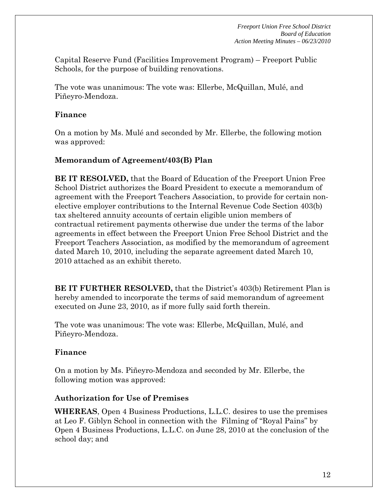Capital Reserve Fund (Facilities Improvement Program) – Freeport Public Schools, for the purpose of building renovations.

The vote was unanimous: The vote was: Ellerbe, McQuillan, Mulé, and Piñeyro-Mendoza.

#### **Finance**

On a motion by Ms. Mulé and seconded by Mr. Ellerbe, the following motion was approved:

### **Memorandum of Agreement/403(B) Plan**

**BE IT RESOLVED,** that the Board of Education of the Freeport Union Free School District authorizes the Board President to execute a memorandum of agreement with the Freeport Teachers Association, to provide for certain nonelective employer contributions to the Internal Revenue Code Section 403(b) tax sheltered annuity accounts of certain eligible union members of contractual retirement payments otherwise due under the terms of the labor agreements in effect between the Freeport Union Free School District and the Freeport Teachers Association, as modified by the memorandum of agreement dated March 10, 2010, including the separate agreement dated March 10, 2010 attached as an exhibit thereto.

**BE IT FURTHER RESOLVED,** that the District's 403(b) Retirement Plan is hereby amended to incorporate the terms of said memorandum of agreement executed on June 23, 2010, as if more fully said forth therein.

The vote was unanimous: The vote was: Ellerbe, McQuillan, Mulé, and Piñeyro-Mendoza.

#### **Finance**

On a motion by Ms. Piñeyro-Mendoza and seconded by Mr. Ellerbe, the following motion was approved:

#### **Authorization for Use of Premises**

**WHEREAS**, Open 4 Business Productions, L.L.C. desires to use the premises at Leo F. Giblyn School in connection with the Filming of "Royal Pains" by Open 4 Business Productions, L.L.C. on June 28, 2010 at the conclusion of the school day; and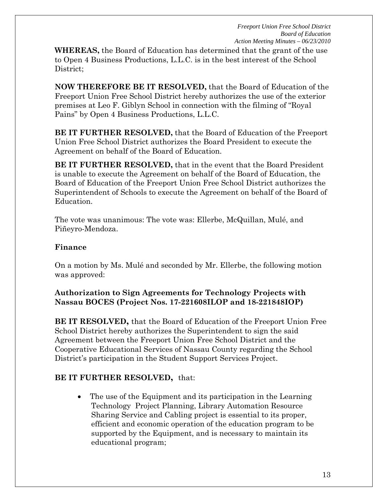**WHEREAS,** the Board of Education has determined that the grant of the use to Open 4 Business Productions, L.L.C. is in the best interest of the School District;

**NOW THEREFORE BE IT RESOLVED,** that the Board of Education of the Freeport Union Free School District hereby authorizes the use of the exterior premises at Leo F. Giblyn School in connection with the filming of "Royal Pains" by Open 4 Business Productions, L.L.C.

**BE IT FURTHER RESOLVED,** that the Board of Education of the Freeport Union Free School District authorizes the Board President to execute the Agreement on behalf of the Board of Education.

**BE IT FURTHER RESOLVED,** that in the event that the Board President is unable to execute the Agreement on behalf of the Board of Education, the Board of Education of the Freeport Union Free School District authorizes the Superintendent of Schools to execute the Agreement on behalf of the Board of Education.

The vote was unanimous: The vote was: Ellerbe, McQuillan, Mulé, and Piñeyro-Mendoza.

# **Finance**

On a motion by Ms. Mulé and seconded by Mr. Ellerbe, the following motion was approved:

# **Authorization to Sign Agreements for Technology Projects with Nassau BOCES (Project Nos. 17-221608ILOP and 18-221848IOP)**

**BE IT RESOLVED,** that the Board of Education of the Freeport Union Free School District hereby authorizes the Superintendent to sign the said Agreement between the Freeport Union Free School District and the Cooperative Educational Services of Nassau County regarding the School District's participation in the Student Support Services Project.

# **BE IT FURTHER RESOLVED,** that:

 The use of the Equipment and its participation in the Learning Technology Project Planning, Library Automation Resource Sharing Service and Cabling project is essential to its proper, efficient and economic operation of the education program to be supported by the Equipment, and is necessary to maintain its educational program;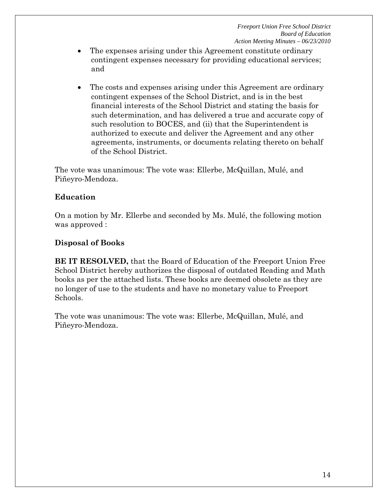- The expenses arising under this Agreement constitute ordinary contingent expenses necessary for providing educational services; and
- The costs and expenses arising under this Agreement are ordinary contingent expenses of the School District, and is in the best financial interests of the School District and stating the basis for such determination, and has delivered a true and accurate copy of such resolution to BOCES, and (ii) that the Superintendent is authorized to execute and deliver the Agreement and any other agreements, instruments, or documents relating thereto on behalf of the School District.

The vote was unanimous: The vote was: Ellerbe, McQuillan, Mulé, and Piñeyro-Mendoza.

# **Education**

On a motion by Mr. Ellerbe and seconded by Ms. Mulé, the following motion was approved :

# **Disposal of Books**

**BE IT RESOLVED,** that the Board of Education of the Freeport Union Free School District hereby authorizes the disposal of outdated Reading and Math books as per the attached lists. These books are deemed obsolete as they are no longer of use to the students and have no monetary value to Freeport Schools.

The vote was unanimous: The vote was: Ellerbe, McQuillan, Mulé, and Piñeyro-Mendoza.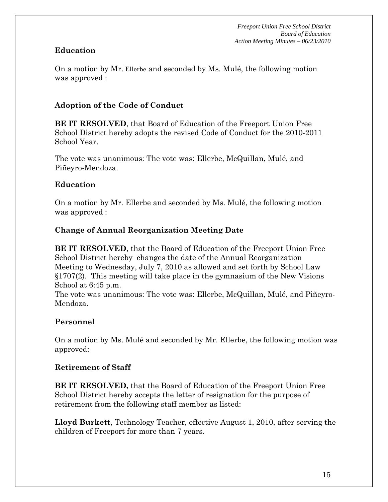# **Education**

On a motion by Mr. Ellerbe and seconded by Ms. Mulé, the following motion was approved :

### **Adoption of the Code of Conduct**

**BE IT RESOLVED**, that Board of Education of the Freeport Union Free School District hereby adopts the revised Code of Conduct for the 2010-2011 School Year.

The vote was unanimous: The vote was: Ellerbe, McQuillan, Mulé, and Piñeyro-Mendoza.

### **Education**

On a motion by Mr. Ellerbe and seconded by Ms. Mulé, the following motion was approved :

### **Change of Annual Reorganization Meeting Date**

**BE IT RESOLVED**, that the Board of Education of the Freeport Union Free School District hereby changes the date of the Annual Reorganization Meeting to Wednesday, July 7, 2010 as allowed and set forth by School Law §1707(2). This meeting will take place in the gymnasium of the New Visions School at 6:45 p.m.

The vote was unanimous: The vote was: Ellerbe, McQuillan, Mulé, and Piñeyro-Mendoza.

#### **Personnel**

On a motion by Ms. Mulé and seconded by Mr. Ellerbe, the following motion was approved:

#### **Retirement of Staff**

**BE IT RESOLVED,** that the Board of Education of the Freeport Union Free School District hereby accepts the letter of resignation for the purpose of retirement from the following staff member as listed:

**Lloyd Burkett**, Technology Teacher, effective August 1, 2010, after serving the children of Freeport for more than 7 years.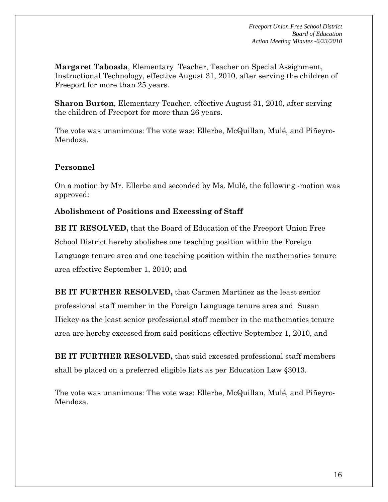**Margaret Taboada**, Elementary Teacher, Teacher on Special Assignment, Instructional Technology, effective August 31, 2010, after serving the children of Freeport for more than 25 years.

**Sharon Burton**, Elementary Teacher, effective August 31, 2010, after serving the children of Freeport for more than 26 years.

The vote was unanimous: The vote was: Ellerbe, McQuillan, Mulé, and Piñeyro-Mendoza.

# **Personnel**

On a motion by Mr. Ellerbe and seconded by Ms. Mulé, the following -motion was approved:

# **Abolishment of Positions and Excessing of Staff**

**BE IT RESOLVED,** that the Board of Education of the Freeport Union Free School District hereby abolishes one teaching position within the Foreign Language tenure area and one teaching position within the mathematics tenure area effective September 1, 2010; and

**BE IT FURTHER RESOLVED,** that Carmen Martinez as the least senior professional staff member in the Foreign Language tenure area and Susan Hickey as the least senior professional staff member in the mathematics tenure area are hereby excessed from said positions effective September 1, 2010, and

**BE IT FURTHER RESOLVED,** that said excessed professional staff members shall be placed on a preferred eligible lists as per Education Law §3013.

The vote was unanimous: The vote was: Ellerbe, McQuillan, Mulé, and Piñeyro-Mendoza.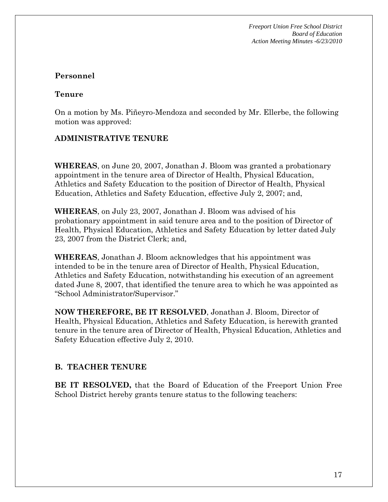# **Personnel**

### **Tenure**

On a motion by Ms. Piñeyro-Mendoza and seconded by Mr. Ellerbe, the following motion was approved:

# **ADMINISTRATIVE TENURE**

**WHEREAS**, on June 20, 2007, Jonathan J. Bloom was granted a probationary appointment in the tenure area of Director of Health, Physical Education, Athletics and Safety Education to the position of Director of Health, Physical Education, Athletics and Safety Education, effective July 2, 2007; and,

**WHEREAS**, on July 23, 2007, Jonathan J. Bloom was advised of his probationary appointment in said tenure area and to the position of Director of Health, Physical Education, Athletics and Safety Education by letter dated July 23, 2007 from the District Clerk; and,

**WHEREAS**, Jonathan J. Bloom acknowledges that his appointment was intended to be in the tenure area of Director of Health, Physical Education, Athletics and Safety Education, notwithstanding his execution of an agreement dated June 8, 2007, that identified the tenure area to which he was appointed as "School Administrator/Supervisor."

**NOW THEREFORE, BE IT RESOLVED**, Jonathan J. Bloom, Director of Health, Physical Education, Athletics and Safety Education, is herewith granted tenure in the tenure area of Director of Health, Physical Education, Athletics and Safety Education effective July 2, 2010.

# **B. TEACHER TENURE**

**BE IT RESOLVED,** that the Board of Education of the Freeport Union Free School District hereby grants tenure status to the following teachers: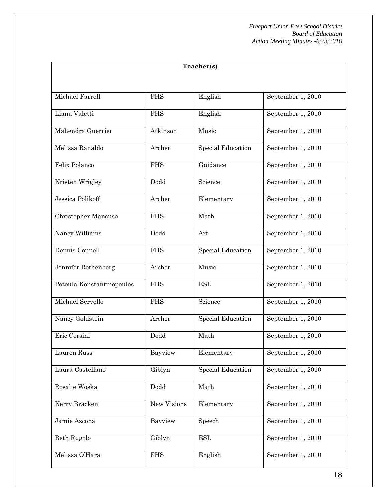| Teacher(s)                |             |                          |                   |
|---------------------------|-------------|--------------------------|-------------------|
|                           |             |                          |                   |
| Michael Farrell           | <b>FHS</b>  | English                  | September 1, 2010 |
| Liana Valetti             | <b>FHS</b>  | English                  | September 1, 2010 |
| Mahendra Guerrier         | Atkinson    | Music                    | September 1, 2010 |
| Melissa Ranaldo           | Archer      | Special Education        | September 1, 2010 |
| Felix Polanco             | <b>FHS</b>  | Guidance                 | September 1, 2010 |
| Kristen Wrigley           | Dodd        | Science                  | September 1, 2010 |
| Jessica Polikoff          | Archer      | Elementary               | September 1, 2010 |
| Christopher Mancuso       | <b>FHS</b>  | Math                     | September 1, 2010 |
| Nancy Williams            | Dodd        | Art                      | September 1, 2010 |
| Dennis Connell            | <b>FHS</b>  | Special Education        | September 1, 2010 |
| Jennifer Rothenberg       | Archer      | Music                    | September 1, 2010 |
| Potoula Konstantinopoulos | <b>FHS</b>  | <b>ESL</b>               | September 1, 2010 |
| Michael Servello          | <b>FHS</b>  | Science                  | September 1, 2010 |
| Nancy Goldstein           | Archer      | <b>Special Education</b> | September 1, 2010 |
| Eric Corsini              | Dodd        | Math                     | September 1, 2010 |
| Lauren Russ               | Bayview     | Elementary               | September 1, 2010 |
| Laura Castellano          | Giblyn      | <b>Special Education</b> | September 1, 2010 |
| Rosalie Woska             | Dodd        | Math                     | September 1, 2010 |
| Kerry Bracken             | New Visions | Elementary               | September 1, 2010 |
| Jamie Azcona              | Bayview     | Speech                   | September 1, 2010 |
| Beth Rugolo               | Giblyn      | <b>ESL</b>               | September 1, 2010 |
| Melissa O'Hara            | <b>FHS</b>  | English                  | September 1, 2010 |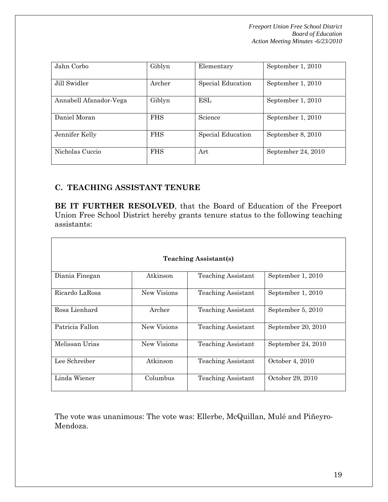| Jahn Corbo             | Giblyn     | Elementary        | September 1, 2010  |
|------------------------|------------|-------------------|--------------------|
| Jill Swidler           | Archer     | Special Education | September 1, 2010  |
| Annabell Afanador-Vega | Giblyn     | <b>ESL</b>        | September 1, 2010  |
| Daniel Moran           | <b>FHS</b> | Science           | September 1, 2010  |
| Jennifer Kelly         | <b>FHS</b> | Special Education | September 8, 2010  |
| Nicholas Cuccio        | <b>FHS</b> | Art               | September 24, 2010 |

# **C. TEACHING ASSISTANT TENURE**

**BE IT FURTHER RESOLVED**, that the Board of Education of the Freeport Union Free School District hereby grants tenure status to the following teaching assistants:

| <b>Teaching Assistant(s)</b> |             |                           |                    |  |
|------------------------------|-------------|---------------------------|--------------------|--|
| Diania Finegan               | Atkinson    | Teaching Assistant        | September 1, 2010  |  |
| Ricardo LaRosa               | New Visions | Teaching Assistant        | September 1, 2010  |  |
| Rosa Lienhard                | Archer      | Teaching Assistant        | September 5, 2010  |  |
| Patricia Fallon              | New Visions | Teaching Assistant        | September 20, 2010 |  |
| Melissan Urias               | New Visions | <b>Teaching Assistant</b> | September 24, 2010 |  |
| Lee Schreiber                | Atkinson    | Teaching Assistant        | October 4, 2010    |  |
| Linda Wiener                 | Columbus    | Teaching Assistant        | October 29, 2010   |  |

The vote was unanimous: The vote was: Ellerbe, McQuillan, Mulé and Piñeyro-Mendoza.